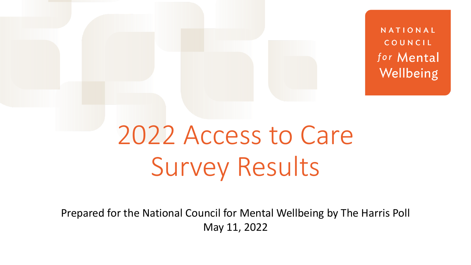NATIONAL COUNCIL for Mental Wellbeing

# 2022 Access to Care Survey Results

Prepared for the National Council for Mental Wellbeing by The Harris Poll May 11, 2022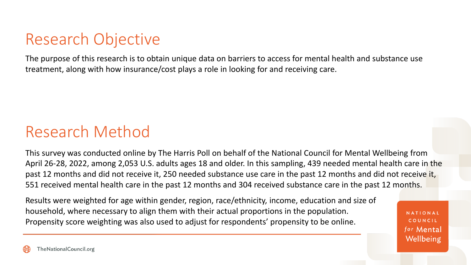### Research Objective

The purpose of this research is to obtain unique data on barriers to access for mental health and substance use treatment, along with how insurance/cost plays a role in looking for and receiving care.

#### Research Method

This survey was conducted online by The Harris Poll on behalf of the National Council for Mental Wellbeing from April 26-28, 2022, among 2,053 U.S. adults ages 18 and older. In this sampling, 439 needed mental health care in the past 12 months and did not receive it, 250 needed substance use care in the past 12 months and did not receive it, 551 received mental health care in the past 12 months and 304 received substance care in the past 12 months.

Results were weighted for age within gender, region, race/ethnicity, income, education and size of household, where necessary to align them with their actual proportions in the population. Propensity score weighting was also used to adjust for respondents' propensity to be online.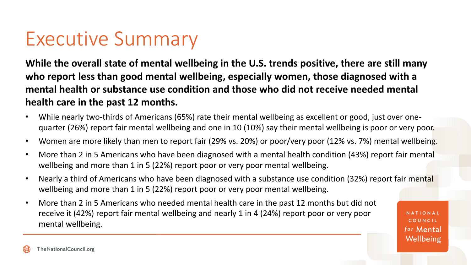## Executive Summary

**While the overall state of mental wellbeing in the U.S. trends positive, there are still many who report less than good mental wellbeing, especially women, those diagnosed with a mental health or substance use condition and those who did not receive needed mental health care in the past 12 months.** 

- While nearly two-thirds of Americans (65%) rate their mental wellbeing as excellent or good, just over onequarter (26%) report fair mental wellbeing and one in 10 (10%) say their mental wellbeing is poor or very poor.
- Women are more likely than men to report fair (29% vs. 20%) or poor/very poor (12% vs. 7%) mental wellbeing.
- More than 2 in 5 Americans who have been diagnosed with a mental health condition (43%) report fair mental wellbeing and more than 1 in 5 (22%) report poor or very poor mental wellbeing.
- Nearly a third of Americans who have been diagnosed with a substance use condition (32%) report fair mental wellbeing and more than 1 in 5 (22%) report poor or very poor mental wellbeing.
- More than 2 in 5 Americans who needed mental health care in the past 12 months but did not receive it (42%) report fair mental wellbeing and nearly 1 in 4 (24%) report poor or very poor mental wellbeing.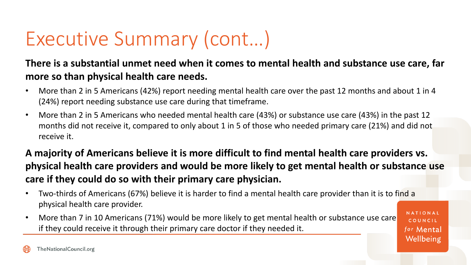#### **There is a substantial unmet need when it comes to mental health and substance use care, far more so than physical health care needs.**

- More than 2 in 5 Americans (42%) report needing mental health care over the past 12 months and about 1 in 4 (24%) report needing substance use care during that timeframe.
- More than 2 in 5 Americans who needed mental health care (43%) or substance use care (43%) in the past 12 months did not receive it, compared to only about 1 in 5 of those who needed primary care (21%) and did not receive it.

#### **A majority of Americans believe it is more difficult to find mental health care providers vs. physical health care providers and would be more likely to get mental health or substance use care if they could do so with their primary care physician.**

- Two-thirds of Americans (67%) believe it is harder to find a mental health care provider than it is to find a physical health care provider.
- More than 7 in 10 Americans (71%) would be more likely to get mental health or substance use care if they could receive it through their primary care doctor if they needed it.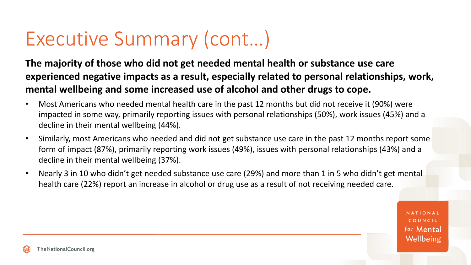**The majority of those who did not get needed mental health or substance use care experienced negative impacts as a result, especially related to personal relationships, work, mental wellbeing and some increased use of alcohol and other drugs to cope.**

- Most Americans who needed mental health care in the past 12 months but did not receive it (90%) were impacted in some way, primarily reporting issues with personal relationships (50%), work issues (45%) and a decline in their mental wellbeing (44%).
- Similarly, most Americans who needed and did not get substance use care in the past 12 months report some form of impact (87%), primarily reporting work issues (49%), issues with personal relationships (43%) and a decline in their mental wellbeing (37%).
- Nearly 3 in 10 who didn't get needed substance use care (29%) and more than 1 in 5 who didn't get mental health care (22%) report an increase in alcohol or drug use as a result of not receiving needed care.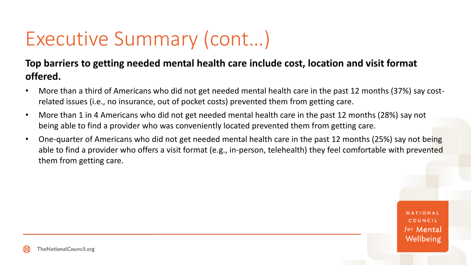#### **Top barriers to getting needed mental health care include cost, location and visit format offered.**

- More than a third of Americans who did not get needed mental health care in the past 12 months (37%) say costrelated issues (i.e., no insurance, out of pocket costs) prevented them from getting care.
- More than 1 in 4 Americans who did not get needed mental health care in the past 12 months (28%) say not being able to find a provider who was conveniently located prevented them from getting care.
- One-quarter of Americans who did not get needed mental health care in the past 12 months (25%) say not being able to find a provider who offers a visit format (e.g., in-person, telehealth) they feel comfortable with prevented them from getting care.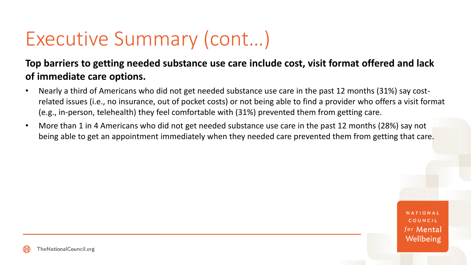#### **Top barriers to getting needed substance use care include cost, visit format offered and lack of immediate care options.**

- Nearly a third of Americans who did not get needed substance use care in the past 12 months (31%) say costrelated issues (i.e., no insurance, out of pocket costs) or not being able to find a provider who offers a visit format (e.g., in-person, telehealth) they feel comfortable with (31%) prevented them from getting care.
- More than 1 in 4 Americans who did not get needed substance use care in the past 12 months (28%) say not being able to get an appointment immediately when they needed care prevented them from getting that care.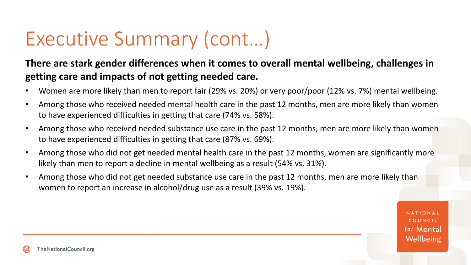#### **There are stark gender differences when it comes to overall mental wellbeing, challenges in getting care and impacts of not getting needed care.**

- Women are more likely than men to report fair (29% vs. 20%) or very poor/poor (12% vs. 7%) mental wellbeing.
- Among those who received needed mental health care in the past 12 months, men are more likely than women to have experienced difficulties in getting that care (74% vs. 58%).
- Among those who received needed substance use care in the past 12 months, men are more likely than women to have experienced difficulties in getting that care (87% vs. 69%).
- Among those who did not get needed mental health care in the past 12 months, women are significantly more likely than men to report a decline in mental wellbeing as a result (54% vs. 31%).
- Among those who did not get needed substance use care in the past 12 months, men are more likely than women to report an increase in alcohol/drug use as a result (39% vs. 19%).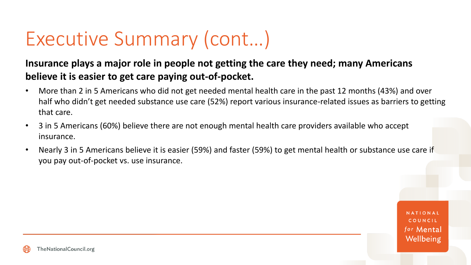#### **Insurance plays a major role in people not getting the care they need; many Americans believe it is easier to get care paying out-of-pocket.**

- More than 2 in 5 Americans who did not get needed mental health care in the past 12 months (43%) and over half who didn't get needed substance use care (52%) report various insurance-related issues as barriers to getting that care.
- 3 in 5 Americans (60%) believe there are not enough mental health care providers available who accept insurance.
- Nearly 3 in 5 Americans believe it is easier (59%) and faster (59%) to get mental health or substance use care if you pay out-of-pocket vs. use insurance.

COUNCIL for Mental Wellbeing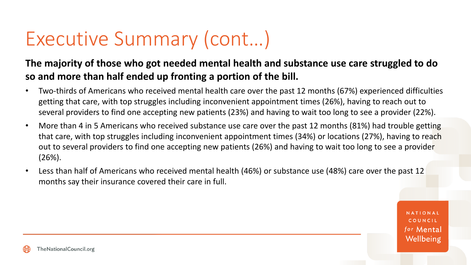#### **The majority of those who got needed mental health and substance use care struggled to do so and more than half ended up fronting a portion of the bill.**

- Two-thirds of Americans who received mental health care over the past 12 months (67%) experienced difficulties getting that care, with top struggles including inconvenient appointment times (26%), having to reach out to several providers to find one accepting new patients (23%) and having to wait too long to see a provider (22%).
- More than 4 in 5 Americans who received substance use care over the past 12 months (81%) had trouble getting that care, with top struggles including inconvenient appointment times (34%) or locations (27%), having to reach out to several providers to find one accepting new patients (26%) and having to wait too long to see a provider (26%).
- Less than half of Americans who received mental health (46%) or substance use (48%) care over the past 12 months say their insurance covered their care in full.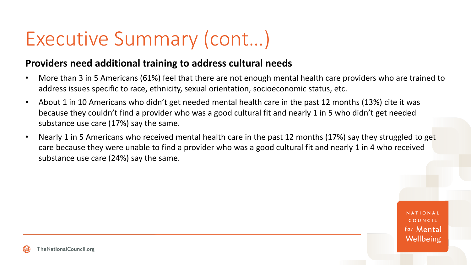#### **Providers need additional training to address cultural needs**

- More than 3 in 5 Americans (61%) feel that there are not enough mental health care providers who are trained to address issues specific to race, ethnicity, sexual orientation, socioeconomic status, etc.
- About 1 in 10 Americans who didn't get needed mental health care in the past 12 months (13%) cite it was because they couldn't find a provider who was a good cultural fit and nearly 1 in 5 who didn't get needed substance use care (17%) say the same.
- Nearly 1 in 5 Americans who received mental health care in the past 12 months (17%) say they struggled to get care because they were unable to find a provider who was a good cultural fit and nearly 1 in 4 who received substance use care (24%) say the same.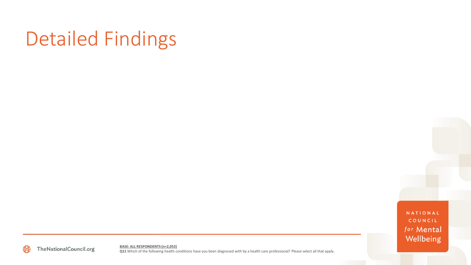## Detailed Findings

NATIONAL COUNCIL for Mental Wellbeing



**BASE: ALL RESPONDENTS (n=2,053) Q11** Which of the following health conditions have you been diagnosed with by a health care professional? Please select all that apply.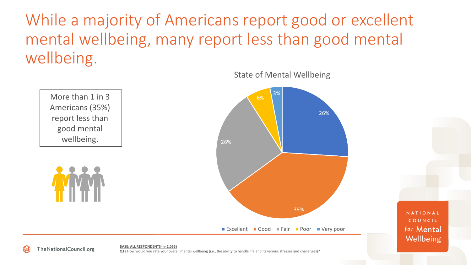While a majority of Americans report good or excellent mental wellbeing, many report less than good mental wellbeing.



State of Mental Wellbeing

**BASE: ALL RESPONDENTS (n=2,053) Q1a** How would you rate your overall mental wellbeing (i.e., the ability to handle life and its various stresses and challenges)?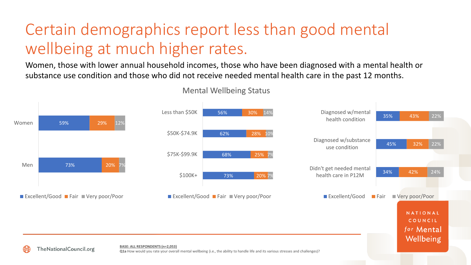## Certain demographics report less than good mental wellbeing at much higher rates.

Women, those with lower annual household incomes, those who have been diagnosed with a mental health or substance use condition and those who did not receive needed mental health care in the past 12 months.



Mental Wellbeing Status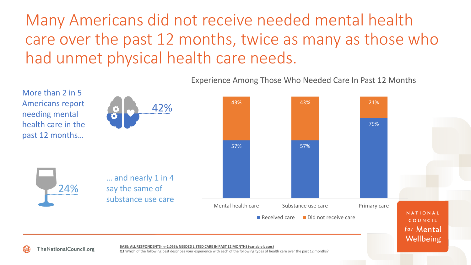Many Americans did not receive needed mental health care over the past 12 months, twice as many as those who had unmet physical health care needs.



Experience Among Those Who Needed Care In Past 12 Months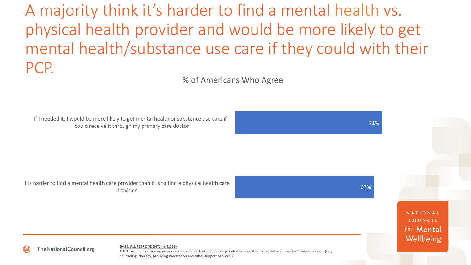A majority think it's harder to find a mental health vs. physical health provider and would be more likely to get mental health/substance use care if they could with their PCP.

% of Americans Who Agree

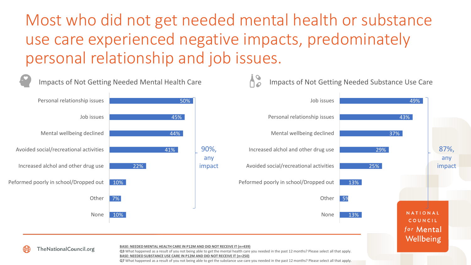Most who did not get needed mental health or substance use care experienced negative impacts, predominately personal relationship and job issues.



**BASE: NEEDED SUBSTANCE USE CARE IN P12M AND DID NOT RECEIVE IT (n=250)**

**Q7** What happened as a result of you not being able to get the substance use care you needed in the past 12 months? Please select all that apply.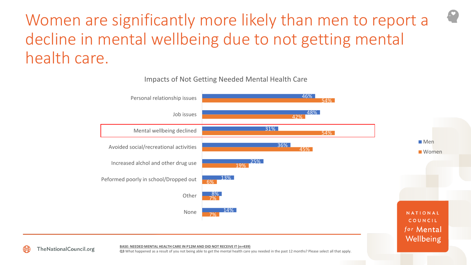Women are significantly more likely than men to report a decline in mental wellbeing due to not getting mental health care.



Impacts of Not Getting Needed Mental Health Care



**BASE: NEEDED MENTAL HEALTH CARE IN P12M AND DID NOT RECEIVE IT (n=439)**

**Q3** What happened as a result of you not being able to get the mental health care you needed in the past 12 months? Please select all that apply.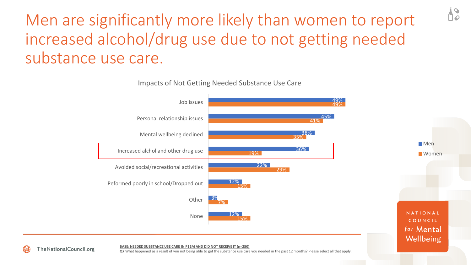## Men are significantly more likely than women to report increased alcohol/drug use due to not getting needed substance use care.

Impacts of Not Getting Needed Substance Use Care



**BASE: NEEDED SUBSTANCE USE CARE IN P12M AND DID NOT RECEIVE IT (n=250)**

**Q7** What happened as a result of you not being able to get the substance use care you needed in the past 12 months? Please select all that apply.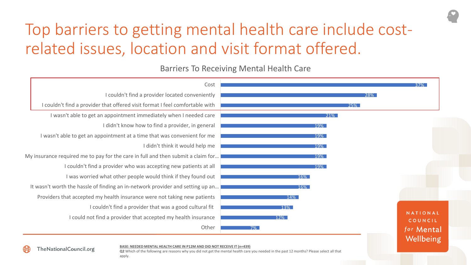## Top barriers to getting mental health care include costrelated issues, location and visit format offered.

#### Barriers To Receiving Mental Health Care



**Q2** Which of the following are reasons why you did not get the mental health care you needed in the past 12 months? Please select all that apply.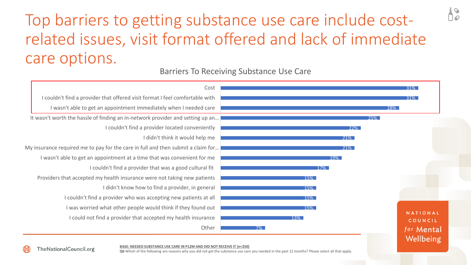### Top barriers to getting substance use care include costrelated issues, visit format offered and lack of immediate care options.

#### Barriers To Receiving Substance Use Care



**BASE: NEEDED SUBSTANCE USE CARE IN P12M AND DID NOT RECEIVE IT (n=250)**

**Q6** Which of the following are reasons why you did not get the substance use care you needed in the past 12 months? Please select all that apply.

**TheNationalCouncil.org**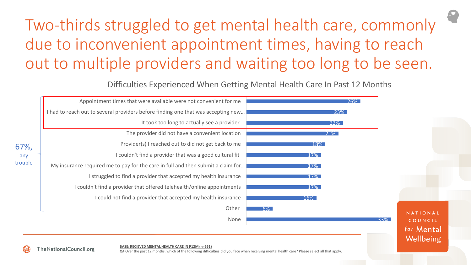## Two-thirds struggled to get mental health care, commonly due to inconvenient appointment times, having to reach out to multiple providers and waiting too long to be seen.

Difficulties Experienced When Getting Mental Health Care In Past 12 Months



**BASE: RECIEVED MENTAL HEALTH CARE IN P12M (n=551)**

**Q4** Over the past 12 months, which of the following difficulties did you face when receiving mental health care? Please select all that apply.

**TheNationalCouncil.org**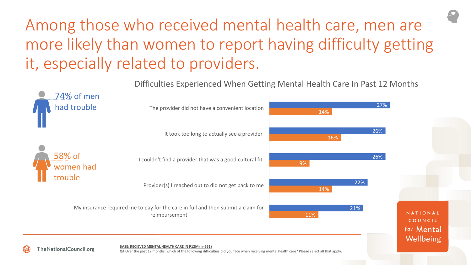## Among those who received mental health care, men are more likely than women to report having difficulty getting it, especially related to providers.

Difficulties Experienced When Getting Mental Health Care In Past 12 Months

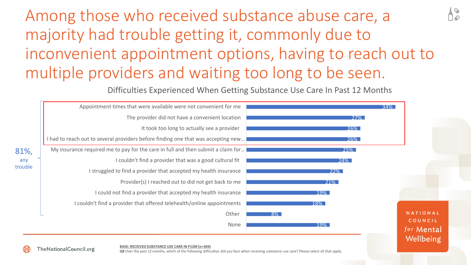## Among those who received substance abuse care, a majority had trouble getting it, commonly due to inconvenient appointment options, having to reach out to multiple providers and waiting too long to be seen.

Difficulties Experienced When Getting Substance Use Care In Past 12 Months

|               | Appointment times that were available were not convenient for me                      | $34\%$     |                       |
|---------------|---------------------------------------------------------------------------------------|------------|-----------------------|
|               | The provider did not have a convenient location                                       | <b>27%</b> |                       |
|               | It took too long to actually see a provider                                           | 26%        |                       |
|               | I had to reach out to several providers before finding one that was accepting new $ $ | <b>26%</b> |                       |
| $\frac{9}{6}$ | My insurance required me to pay for the care in full and then submit a claim for      | 25%        |                       |
| ny            | I couldn't find a provider that was a good cultural fit                               | 24%        |                       |
| uble          | I struggled to find a provider that accepted my health insurance                      | 22%        |                       |
|               | Provider(s) I reached out to did not get back to me                                   | $21\%$     |                       |
|               | I could not find a provider that accepted my health insurance                         | 19%        |                       |
|               | I couldn't find a provider that offered telehealth/online appointments                | 18%        |                       |
|               | Other                                                                                 | $8\%$      | NATIONAL              |
|               | None                                                                                  | 19%        | COUNCIL<br>for Mental |

#### **BASE: RECIEVED SUBSTANCE USE CARE IN P12M (n=304)**

81%,

a tro

**TheNationalCouncil.org** 

**Q8** Over the past 12 months, which of the following difficulties did you face when receiving substance use care? Please select all that apply.

Wellbeing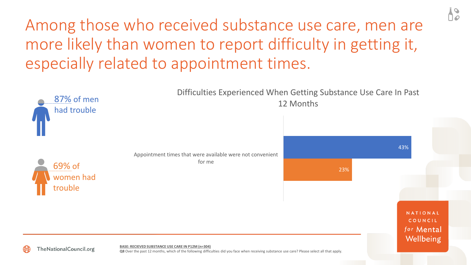Among those who received substance use care, men are more likely than women to report difficulty in getting it, especially related to appointment times.

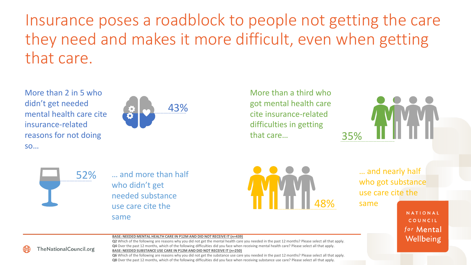Insurance poses a roadblock to people not getting the care they need and makes it more difficult, even when getting that care.

More than 2 in 5 who didn't get needed mental health care cite insurance-related reasons for not doing so…



More than a third who got mental health care cite insurance-related difficulties in getting that care... 35%





… and more than half who didn't get needed substance use care cite the same



… and nearly half who got substance use care cite the

same

**NATIONAL** COUNCIL for Mental Wellbeing

#### **BASE: NEEDED MENTAL HEALTH CARE IN P12M AND DID NOT RECEIVE IT (n=439)**

**Q2** Which of the following are reasons why you did not get the mental health care you needed in the past 12 months? Please select all that apply. **Q4** Over the past 12 months, which of the following difficulties did you face when receiving mental health care? Please select all that apply. **BASE: NEEDED SUBSTANCE USE CARE IN P12M AND DID NOT RECEIVE IT (n=250)**

**Q6** Which of the following are reasons why you did not get the substance use care you needed in the past 12 months? Please select all that apply. **Q8** Over the past 12 months, which of the following difficulties did you face when receiving substance use care? Please select all that apply.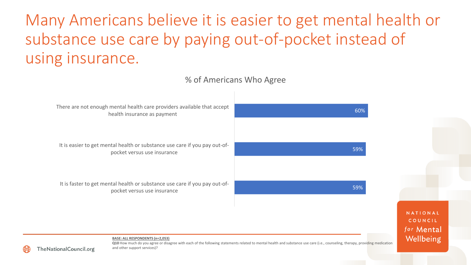Many Americans believe it is easier to get mental health or substance use care by paying out-of-pocket instead of using insurance.

60% 59% 59% There are not enough mental health care providers available that accept health insurance as payment It is easier to get mental health or substance use care if you pay out-ofpocket versus use insurance It is faster to get mental health or substance use care if you pay out-ofpocket versus use insurance % of Americans Who Agree

NATIONAL COUNCIL for Mental Wellbeing

**BASE: ALL RESPONDENTS (n=2,053)**



Q10 How much do you agree or disagree with each of the following statements related to mental health and substance use care (i.e., counseling, therapy, providing medication and other support services)?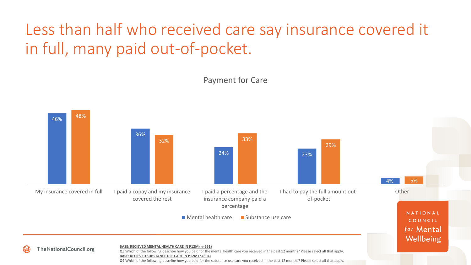## Less than half who received care say insurance covered it in full, many paid out-of-pocket.



#### Payment for Care

**Q9** Which of the following describe how you paid for the substance use care you received in the past 12 months? Please select all that apply.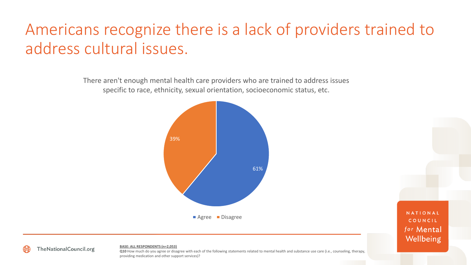## Americans recognize there is a lack of providers trained to address cultural issues.

There aren't enough mental health care providers who are trained to address issues specific to race, ethnicity, sexual orientation, socioeconomic status, etc.



**NATIONAL** COUNCIL for Mental Wellbeing

#### **BASE: ALL RESPONDENTS (n=2,053)**

**Q10** How much do you agree or disagree with each of the following statements related to mental health and substance use care (i.e., counseling, therapy, providing medication and other support services)?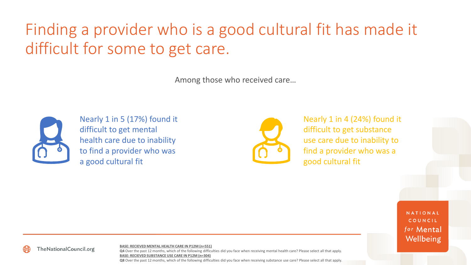## Finding a provider who is a good cultural fit has made it difficult for some to get care.

Among those who received care…



**TheNationalCouncil.org** 

Nearly 1 in 5 (17%) found it difficult to get mental health care due to inability to find a provider who was a good cultural fit



Nearly 1 in 4 (24%) found it difficult to get substance use care due to inability to find a provider who was a good cultural fit

> NATIONAL COUNCIL for Mental Wellbeing

#### **BASE: RECIEVED MENTAL HEALTH CARE IN P12M (n=551)**

**Q4** Over the past 12 months, which of the following difficulties did you face when receiving mental health care? Please select all that apply. **BASE: RECIEVED SUBSTANCE USE CARE IN P12M (n=304) Q8** Over the past 12 months, which of the following difficulties did you face when receiving substance use care? Please select all that apply.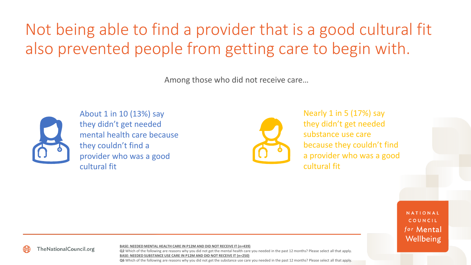## Not being able to find a provider that is a good cultural fit also prevented people from getting care to begin with.

Among those who did not receive care…



About 1 in 10 (13%) say they didn't get needed mental health care because they couldn't find a provider who was a good cultural fit



Nearly 1 in 5 (17%) say they didn't get needed substance use care because they couldn't find a provider who was a good cultural fit

> **NATIONAL** COUNCIL for Mental Wellbeing

**TheNationalCouncil.org** 

**BASE: NEEDED MENTAL HEALTH CARE IN P12M AND DID NOT RECEIVE IT (n=439)**

**Q2** Which of the following are reasons why you did not get the mental health care you needed in the past 12 months? Please select all that apply. **BASE: NEEDED SUBSTANCE USE CARE IN P12M AND DID NOT RECEIVE IT (n=250)**

**Q6** Which of the following are reasons why you did not get the substance use care you needed in the past 12 months? Please select all that apply.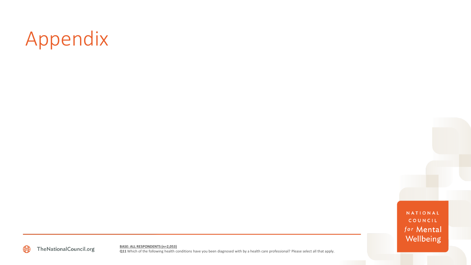# Appendix

NATIONAL COUNCIL for Mental Wellbeing



**BASE: ALL RESPONDENTS (n=2,053) Q11** Which of the following health conditions have you been diagnosed with by a health care professional? Please select all that apply.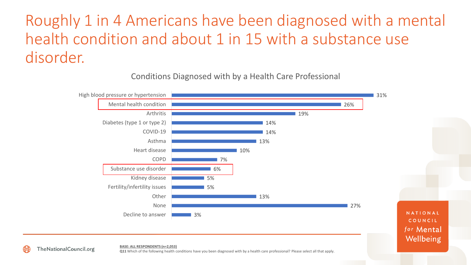### Roughly 1 in 4 Americans have been diagnosed with a mental health condition and about 1 in 15 with a substance use disorder.

Conditions Diagnosed with by a Health Care Professional



**BASE: ALL RESPONDENTS (n=2,053)**

**TheNationalCouncil.org** 

**Q11** Which of the following health conditions have you been diagnosed with by a health care professional? Please select all that apply.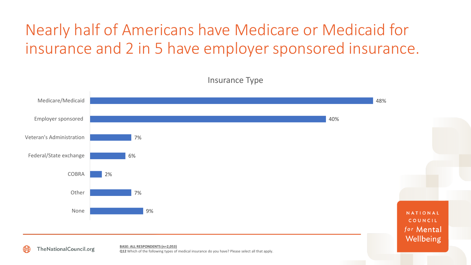### Nearly half of Americans have Medicare or Medicaid for insurance and 2 in 5 have employer sponsored insurance.



**Q12** Which of the following types of medical insurance do you have? Please select all that apply.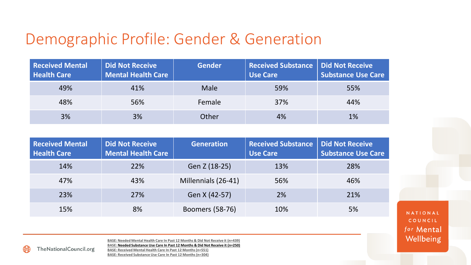#### Demographic Profile: Gender & Generation

| <b>Received Mental</b><br><b>Health Care</b> | <b>Did Not Receive</b><br><b>Mental Health Care</b> | <b>Gender</b> | <b>Received Substance   Did Not Receive</b><br><b>Use Care</b> | <b>Substance Use Care</b> |
|----------------------------------------------|-----------------------------------------------------|---------------|----------------------------------------------------------------|---------------------------|
| 49%                                          | 41%                                                 | <b>Male</b>   | 59%                                                            | 55%                       |
| 48%                                          | 56%                                                 | Female        | 37%                                                            | 44%                       |
| 3%                                           | 3%                                                  | Other         | 4%                                                             | 1%                        |

| <b>Received Mental</b><br><b>Health Care</b> | <b>Did Not Receive</b><br><b>Mental Health Care</b> | <b>Generation</b>      | <b>Received Substance</b><br><b>Use Care</b> | <b>Did Not Receive</b><br><b>Substance Use Care</b> |
|----------------------------------------------|-----------------------------------------------------|------------------------|----------------------------------------------|-----------------------------------------------------|
| 14%                                          | 22%                                                 | Gen Z (18-25)          | 13%                                          | 28%                                                 |
| 47%                                          | 43%                                                 | Millennials (26-41)    | 56%                                          | 46%                                                 |
| 23%                                          | 27%                                                 | Gen X (42-57)          | 2%                                           | 21%                                                 |
| 15%                                          | 8%                                                  | <b>Boomers (58-76)</b> | 10%                                          | 5%                                                  |

NATIONAL COUNCIL for Mental Wellbeing

**BASE: Needed Mental Health Care In Past 12 Months & Did Not Receive it (n=439) BASE: Needed Substance Use Care In Past 12 Months & Did Not Receive it (n=250) BASE: Received Mental Health Care In Past 12 Months (n=551) BASE: Received Substance Use Care In Past 12 Months (n=304)**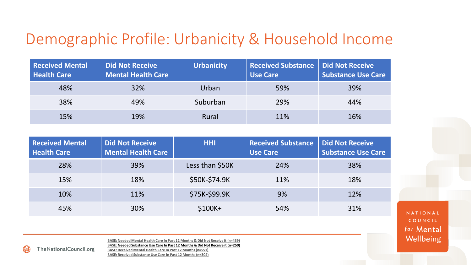#### Demographic Profile: Urbanicity & Household Income

| <b>Received Mental</b><br><b>Health Care</b> | <b>Did Not Receive</b><br><b>Mental Health Care</b> | <b>Urbanicity</b> | <b>Received Substance   Did Not Receive</b><br><b>Use Care</b> | Substance Use Care |
|----------------------------------------------|-----------------------------------------------------|-------------------|----------------------------------------------------------------|--------------------|
| 48%                                          | 32%                                                 | Urban             | 59%                                                            | 39%                |
| 38%                                          | 49%                                                 | Suburban          | 29%                                                            | 44%                |
| 15%                                          | 19%                                                 | Rural             | 11%                                                            | 16%                |

| <b>Received Mental</b><br><b>Health Care</b> | <b>Did Not Receive</b><br><b>Mental Health Care</b> | <b>HHI</b>      | <b>Received Substance</b><br><b>Use Care</b> | <b>Did Not Receive</b><br><b>Substance Use Care</b> |
|----------------------------------------------|-----------------------------------------------------|-----------------|----------------------------------------------|-----------------------------------------------------|
| 28%                                          | 39%                                                 | Less than \$50K | 24%                                          | 38%                                                 |
| 15%                                          | 18%                                                 | \$50K-\$74.9K   | 11%                                          | 18%                                                 |
| 10%                                          | 11%                                                 | \$75K-\$99.9K   | 9%                                           | 12%                                                 |
| 45%                                          | 30%                                                 | $$100K+$        | 54%                                          | 31%                                                 |

NATIONAL COUNCIL for Mental Wellbeing

**BASE: Needed Mental Health Care In Past 12 Months & Did Not Receive it (n=439) BASE: Needed Substance Use Care In Past 12 Months & Did Not Receive it (n=250) BASE: Received Mental Health Care In Past 12 Months (n=551) BASE: Received Substance Use Care In Past 12 Months (n=304)**

**TheNationalCouncil.org**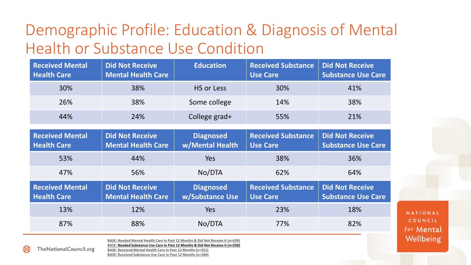### Demographic Profile: Education & Diagnosis of Mental Health or Substance Use Condition

| <b>Received Mental</b><br><b>Health Care</b> | <b>Did Not Receive</b><br><b>Mental Health Care</b> | <b>Education</b> | <b>Received Substance</b><br><b>Use Care</b> | Did Not Receive<br><b>Substance Use Care</b> |
|----------------------------------------------|-----------------------------------------------------|------------------|----------------------------------------------|----------------------------------------------|
| 30%                                          | 38%                                                 | HS or Less       | 30%                                          | 41%                                          |
| 26%                                          | 38%                                                 | Some college     | 14%                                          | 38%                                          |
| 44%                                          | 24%                                                 | College grad+    | 55%                                          | 21%                                          |

| <b>Received Mental</b><br><b>Health Care</b> | <b>Did Not Receive</b><br><b>Mental Health Care</b> | <b>Diagnosed</b><br>w/Mental Health | <b>Received Substance</b><br><b>Use Care</b> | <b>Did Not Receive</b><br><b>Substance Use Care</b> |
|----------------------------------------------|-----------------------------------------------------|-------------------------------------|----------------------------------------------|-----------------------------------------------------|
| 53%                                          | 44%                                                 | Yes                                 | 38%                                          | 36%                                                 |
| 47%                                          | 56%                                                 | No/DTA                              | 62%                                          | 64%                                                 |
|                                              |                                                     |                                     |                                              |                                                     |
| <b>Received Mental</b><br><b>Health Care</b> | <b>Did Not Receive</b><br><b>Mental Health Care</b> | <b>Diagnosed</b><br>w/Substance Use | <b>Received Substance</b><br><b>Use Care</b> | <b>Did Not Receive</b><br><b>Substance Use Care</b> |
| 13%                                          | 12%                                                 | Yes                                 | 23%                                          | 18%                                                 |

NATIONAL COUNCIL for Mental Wellbeing

**BASE: Needed Mental Health Care In Past 12 Months & Did Not Receive it (n=439) BASE: Needed Substance Use Care In Past 12 Months & Did Not Receive it (n=250) BASE: Received Mental Health Care In Past 12 Months (n=551)**

TheNationalCouncil.org

**BASE: Received Substance Use Care In Past 12 Months (n=304)**